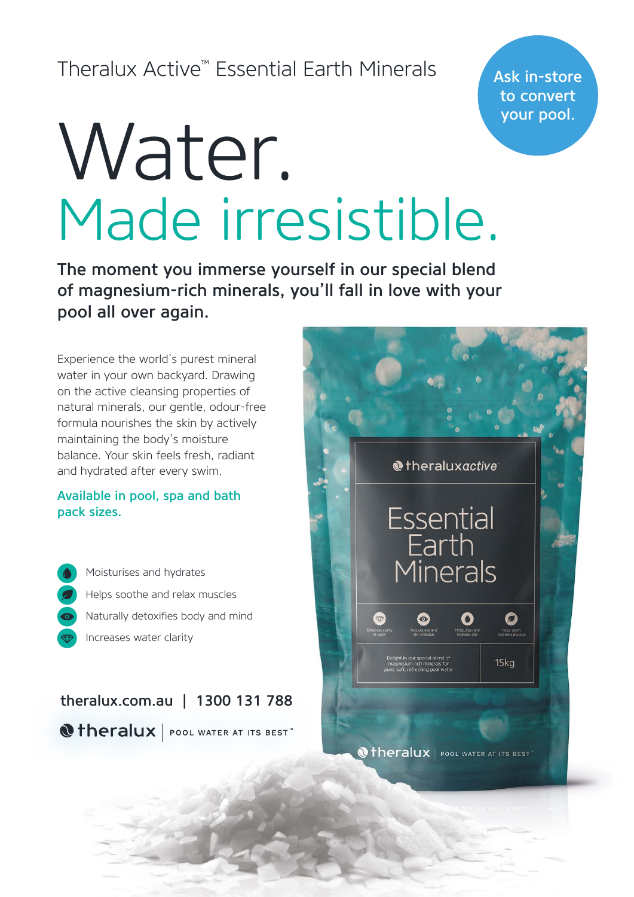# Theralux Active™ Essential Earth Minerals

Ask in-store to convert your pool.

# Water. Made irresistible.

The moment you immerse yourself in our special blend of magnesium-rich minerals, you'll fall in love with your pool all over again.

Experience the world's purest mineral water in your own backyard. Drawing on the active cleansing properties of natural minerals, our gentle, odour-free formula nourishes the skin by actively maintaining the body's moisture balance. Your skin feels fresh, radiant and hydrated after every swim.

#### Available in pool, spa and bath pack sizes.

Naturally detoxifies body and mind Helps soothe and relax muscles Moisturises and hydrates Increases water clarity

theralux.com.au | 1300 131 788 **@theralux** | POOL WATER AT ITS BEST